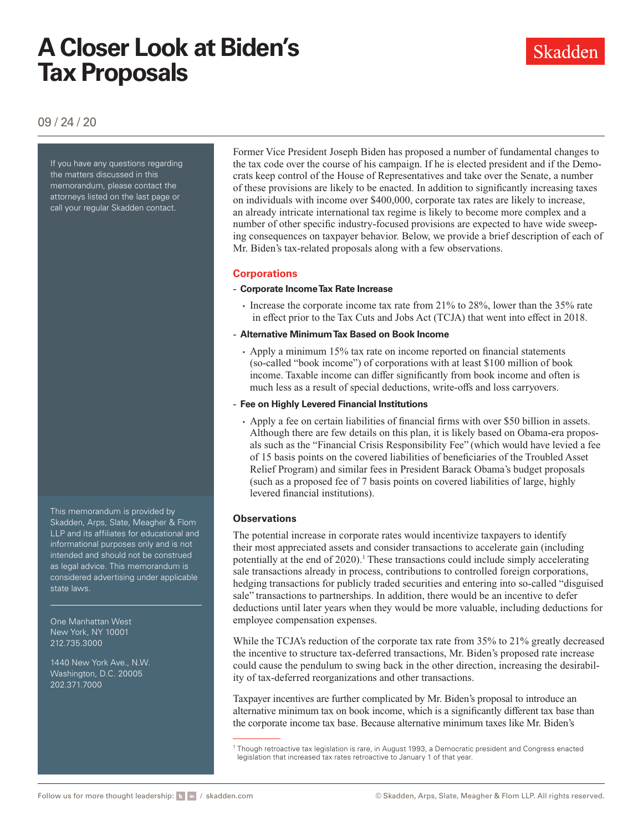Skadden

09 / 24 / 20

If you have any questions regarding the matters discussed in this memorandum, please contact the attorneys listed on the last page or call your regular Skadden contact.

This memorandum is provided by Skadden, Arps, Slate, Meagher & Flom LLP and its affiliates for educational and informational purposes only and is not intended and should not be construed as legal advice. This memorandum is considered advertising under applicable state laws.

One Manhattan West New York, NY 10001 212.735.3000

1440 New York Ave., N.W. Washington, D.C. 20005 202.371.7000

Former Vice President Joseph Biden has proposed a number of fundamental changes to the tax code over the course of his campaign. If he is elected president and if the Democrats keep control of the House of Representatives and take over the Senate, a number of these provisions are likely to be enacted. In addition to significantly increasing taxes on individuals with income over \$400,000, corporate tax rates are likely to increase, an already intricate international tax regime is likely to become more complex and a number of other specific industry-focused provisions are expected to have wide sweeping consequences on taxpayer behavior. Below, we provide a brief description of each of Mr. Biden's tax-related proposals along with a few observations.

### **Corporations**

### - **Corporate Income Tax Rate Increase**

- Increase the corporate income tax rate from 21% to 28%, lower than the 35% rate in effect prior to the Tax Cuts and Jobs Act (TCJA) that went into effect in 2018.
- **Alternative Minimum Tax Based on Book Income**
	- Apply a minimum 15% tax rate on income reported on financial statements (so-called "book income") of corporations with at least \$100 million of book income. Taxable income can differ significantly from book income and often is much less as a result of special deductions, write-offs and loss carryovers.
- **Fee on Highly Levered Financial Institutions**
	- Apply a fee on certain liabilities of financial firms with over \$50 billion in assets. Although there are few details on this plan, it is likely based on Obama-era proposals such as the "Financial Crisis Responsibility Fee" (which would have levied a fee of 15 basis points on the covered liabilities of beneficiaries of the Troubled Asset Relief Program) and similar fees in President Barack Obama's budget proposals (such as a proposed fee of 7 basis points on covered liabilities of large, highly levered financial institutions).

### **Observations**

The potential increase in corporate rates would incentivize taxpayers to identify their most appreciated assets and consider transactions to accelerate gain (including potentially at the end of  $2020$ ).<sup>1</sup> These transactions could include simply accelerating sale transactions already in process, contributions to controlled foreign corporations, hedging transactions for publicly traded securities and entering into so-called "disguised sale" transactions to partnerships. In addition, there would be an incentive to defer deductions until later years when they would be more valuable, including deductions for employee compensation expenses.

While the TCJA's reduction of the corporate tax rate from 35% to 21% greatly decreased the incentive to structure tax-deferred transactions, Mr. Biden's proposed rate increase could cause the pendulum to swing back in the other direction, increasing the desirability of tax-deferred reorganizations and other transactions.

Taxpayer incentives are further complicated by Mr. Biden's proposal to introduce an alternative minimum tax on book income, which is a significantly different tax base than the corporate income tax base. Because alternative minimum taxes like Mr. Biden's

<sup>&</sup>lt;sup>1</sup> Though retroactive tax legislation is rare, in August 1993, a Democratic president and Congress enacted legislation that increased tax rates retroactive to January 1 of that year.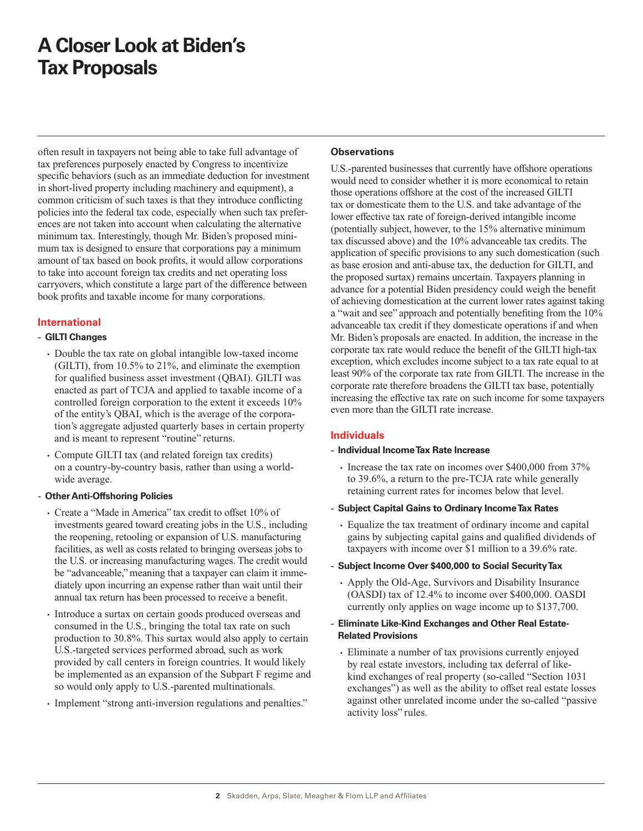often result in taxpayers not being able to take full advantage of tax preferences purposely enacted by Congress to incentivize specific behaviors (such as an immediate deduction for investment in short-lived property including machinery and equipment), a common criticism of such taxes is that they introduce conflicting policies into the federal tax code, especially when such tax preferences are not taken into account when calculating the alternative minimum tax. Interestingly, though Mr. Biden's proposed minimum tax is designed to ensure that corporations pay a minimum amount of tax based on book profits, it would allow corporations to take into account foreign tax credits and net operating loss carryovers, which constitute a large part of the difference between book profits and taxable income for many corporations.

### **International**

### - **GILTI Changes**

- Double the tax rate on global intangible low-taxed income (GILTI), from 10.5% to 21%, and eliminate the exemption for qualified business asset investment (QBAI). GILTI was enacted as part of TCJA and applied to taxable income of a controlled foreign corporation to the extent it exceeds 10% of the entity's QBAI, which is the average of the corporation's aggregate adjusted quarterly bases in certain property and is meant to represent "routine" returns.
- Compute GILTI tax (and related foreign tax credits) on a country-by-country basis, rather than using a worldwide average.

### - **Other Anti-Offshoring Policies**

- Create a "Made in America" tax credit to offset 10% of investments geared toward creating jobs in the U.S., including the reopening, retooling or expansion of U.S. manufacturing facilities, as well as costs related to bringing overseas jobs to the U.S. or increasing manufacturing wages. The credit would be "advanceable," meaning that a taxpayer can claim it immediately upon incurring an expense rather than wait until their annual tax return has been processed to receive a benefit.
- Introduce a surtax on certain goods produced overseas and consumed in the U.S., bringing the total tax rate on such production to 30.8%. This surtax would also apply to certain U.S.-targeted services performed abroad, such as work provided by call centers in foreign countries. It would likely be implemented as an expansion of the Subpart F regime and so would only apply to U.S.-parented multinationals.
- Implement "strong anti-inversion regulations and penalties."

### **Observations**

U.S.-parented businesses that currently have offshore operations would need to consider whether it is more economical to retain those operations offshore at the cost of the increased GILTI tax or domesticate them to the U.S. and take advantage of the lower effective tax rate of foreign-derived intangible income (potentially subject, however, to the 15% alternative minimum tax discussed above) and the 10% advanceable tax credits. The application of specific provisions to any such domestication (such as base erosion and anti-abuse tax, the deduction for GILTI, and the proposed surtax) remains uncertain. Taxpayers planning in advance for a potential Biden presidency could weigh the benefit of achieving domestication at the current lower rates against taking a "wait and see" approach and potentially benefiting from the 10% advanceable tax credit if they domesticate operations if and when Mr. Biden's proposals are enacted. In addition, the increase in the corporate tax rate would reduce the benefit of the GILTI high-tax exception, which excludes income subject to a tax rate equal to at least 90% of the corporate tax rate from GILTI. The increase in the corporate rate therefore broadens the GILTI tax base, potentially increasing the effective tax rate on such income for some taxpayers even more than the GILTI rate increase.

### **Individuals**

- **Individual Income Tax Rate Increase**
	- Increase the tax rate on incomes over \$400,000 from 37% to 39.6%, a return to the pre-TCJA rate while generally retaining current rates for incomes below that level.
- **Subject Capital Gains to Ordinary Income Tax Rates**
	- Equalize the tax treatment of ordinary income and capital gains by subjecting capital gains and qualified dividends of taxpayers with income over \$1 million to a 39.6% rate.

### - **Subject Income Over \$400,000 to Social Security Tax**

• Apply the Old-Age, Survivors and Disability Insurance (OASDI) tax of 12.4% to income over \$400,000. OASDI currently only applies on wage income up to \$137,700.

### - **Eliminate Like-Kind Exchanges and Other Real Estate-Related Provisions**

• Eliminate a number of tax provisions currently enjoyed by real estate investors, including tax deferral of likekind exchanges of real property (so-called "Section 1031 exchanges") as well as the ability to offset real estate losses against other unrelated income under the so-called "passive activity loss" rules.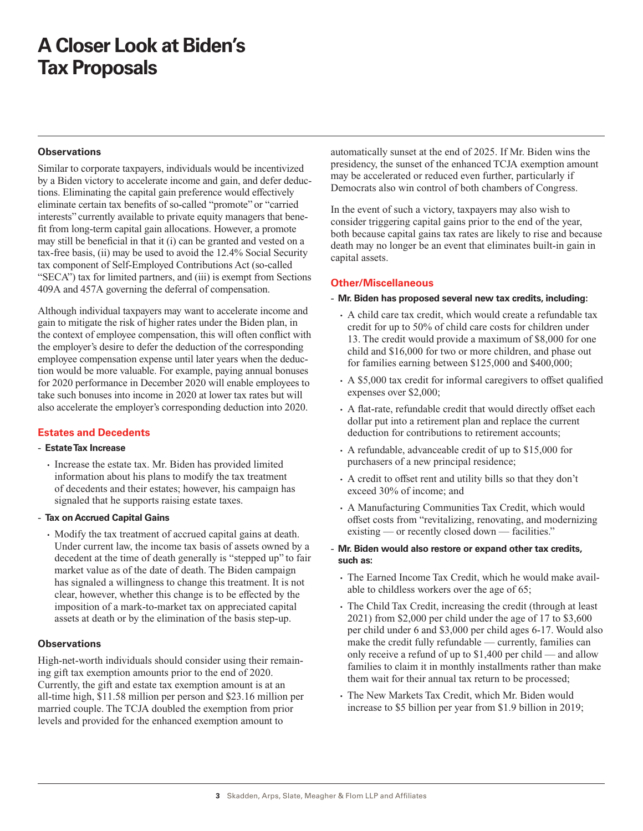### **Observations**

Similar to corporate taxpayers, individuals would be incentivized by a Biden victory to accelerate income and gain, and defer deductions. Eliminating the capital gain preference would effectively eliminate certain tax benefits of so-called "promote" or "carried interests" currently available to private equity managers that benefit from long-term capital gain allocations. However, a promote may still be beneficial in that it (i) can be granted and vested on a tax-free basis, (ii) may be used to avoid the 12.4% Social Security tax component of Self-Employed Contributions Act (so-called "SECA") tax for limited partners, and (iii) is exempt from Sections 409A and 457A governing the deferral of compensation.

Although individual taxpayers may want to accelerate income and gain to mitigate the risk of higher rates under the Biden plan, in the context of employee compensation, this will often conflict with the employer's desire to defer the deduction of the corresponding employee compensation expense until later years when the deduction would be more valuable. For example, paying annual bonuses for 2020 performance in December 2020 will enable employees to take such bonuses into income in 2020 at lower tax rates but will also accelerate the employer's corresponding deduction into 2020.

### **Estates and Decedents**

#### - **Estate Tax Increase**

- Increase the estate tax. Mr. Biden has provided limited information about his plans to modify the tax treatment of decedents and their estates; however, his campaign has signaled that he supports raising estate taxes.
- **Tax on Accrued Capital Gains**
	- Modify the tax treatment of accrued capital gains at death. Under current law, the income tax basis of assets owned by a decedent at the time of death generally is "stepped up" to fair market value as of the date of death. The Biden campaign has signaled a willingness to change this treatment. It is not clear, however, whether this change is to be effected by the imposition of a mark-to-market tax on appreciated capital assets at death or by the elimination of the basis step-up.

#### **Observations**

High-net-worth individuals should consider using their remaining gift tax exemption amounts prior to the end of 2020. Currently, the gift and estate tax exemption amount is at an all-time high, \$11.58 million per person and \$23.16 million per married couple. The TCJA doubled the exemption from prior levels and provided for the enhanced exemption amount to

automatically sunset at the end of 2025. If Mr. Biden wins the presidency, the sunset of the enhanced TCJA exemption amount may be accelerated or reduced even further, particularly if Democrats also win control of both chambers of Congress.

In the event of such a victory, taxpayers may also wish to consider triggering capital gains prior to the end of the year, both because capital gains tax rates are likely to rise and because death may no longer be an event that eliminates built-in gain in capital assets.

### **Other/Miscellaneous**

#### - **Mr. Biden has proposed several new tax credits, including:**

- A child care tax credit, which would create a refundable tax credit for up to 50% of child care costs for children under 13. The credit would provide a maximum of \$8,000 for one child and \$16,000 for two or more children, and phase out for families earning between \$125,000 and \$400,000;
- A \$5,000 tax credit for informal caregivers to offset qualified expenses over \$2,000;
- A flat-rate, refundable credit that would directly offset each dollar put into a retirement plan and replace the current deduction for contributions to retirement accounts;
- A refundable, advanceable credit of up to \$15,000 for purchasers of a new principal residence;
- A credit to offset rent and utility bills so that they don't exceed 30% of income; and
- A Manufacturing Communities Tax Credit, which would offset costs from "revitalizing, renovating, and modernizing existing — or recently closed down — facilities."
- **Mr. Biden would also restore or expand other tax credits, such as:**
	- The Earned Income Tax Credit, which he would make available to childless workers over the age of 65;
	- The Child Tax Credit, increasing the credit (through at least 2021) from \$2,000 per child under the age of 17 to \$3,600 per child under 6 and \$3,000 per child ages 6-17. Would also make the credit fully refundable — currently, families can only receive a refund of up to \$1,400 per child — and allow families to claim it in monthly installments rather than make them wait for their annual tax return to be processed;
	- The New Markets Tax Credit, which Mr. Biden would increase to \$5 billion per year from \$1.9 billion in 2019;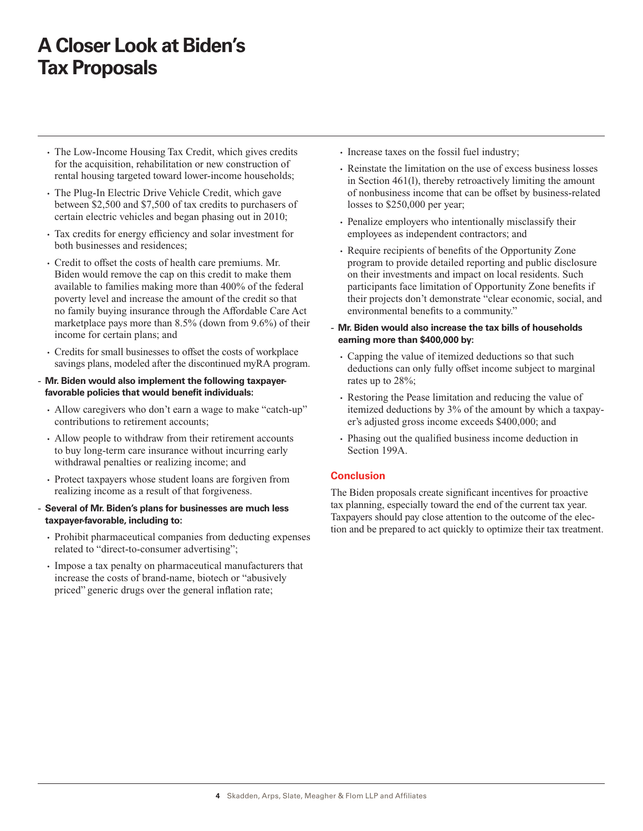- The Low-Income Housing Tax Credit, which gives credits for the acquisition, rehabilitation or new construction of rental housing targeted toward lower-income households;
- The Plug-In Electric Drive Vehicle Credit, which gave between \$2,500 and \$7,500 of tax credits to purchasers of certain electric vehicles and began phasing out in 2010;
- Tax credits for energy efficiency and solar investment for both businesses and residences;
- Credit to offset the costs of health care premiums. Mr. Biden would remove the cap on this credit to make them available to families making more than 400% of the federal poverty level and increase the amount of the credit so that no family buying insurance through the Affordable Care Act marketplace pays more than 8.5% (down from 9.6%) of their income for certain plans; and
- Credits for small businesses to offset the costs of workplace savings plans, modeled after the discontinued myRA program.
- **Mr. Biden would also implement the following taxpayerfavorable policies that would benefit individuals:**
	- Allow caregivers who don't earn a wage to make "catch-up" contributions to retirement accounts;
	- Allow people to withdraw from their retirement accounts to buy long-term care insurance without incurring early withdrawal penalties or realizing income; and
	- Protect taxpayers whose student loans are forgiven from realizing income as a result of that forgiveness.
- **Several of Mr. Biden's plans for businesses are much less taxpayer-favorable, including to:**
	- Prohibit pharmaceutical companies from deducting expenses related to "direct-to-consumer advertising";
	- Impose a tax penalty on pharmaceutical manufacturers that increase the costs of brand-name, biotech or "abusively priced" generic drugs over the general inflation rate;
- Increase taxes on the fossil fuel industry;
- Reinstate the limitation on the use of excess business losses in Section 461(l), thereby retroactively limiting the amount of nonbusiness income that can be offset by business-related losses to \$250,000 per year;
- Penalize employers who intentionally misclassify their employees as independent contractors; and
- Require recipients of benefits of the Opportunity Zone program to provide detailed reporting and public disclosure on their investments and impact on local residents. Such participants face limitation of Opportunity Zone benefits if their projects don't demonstrate "clear economic, social, and environmental benefits to a community."
- **Mr. Biden would also increase the tax bills of households earning more than \$400,000 by:**
	- Capping the value of itemized deductions so that such deductions can only fully offset income subject to marginal rates up to 28%;
	- Restoring the Pease limitation and reducing the value of itemized deductions by 3% of the amount by which a taxpayer's adjusted gross income exceeds \$400,000; and
	- Phasing out the qualified business income deduction in Section 199A.

### **Conclusion**

The Biden proposals create significant incentives for proactive tax planning, especially toward the end of the current tax year. Taxpayers should pay close attention to the outcome of the election and be prepared to act quickly to optimize their tax treatment.